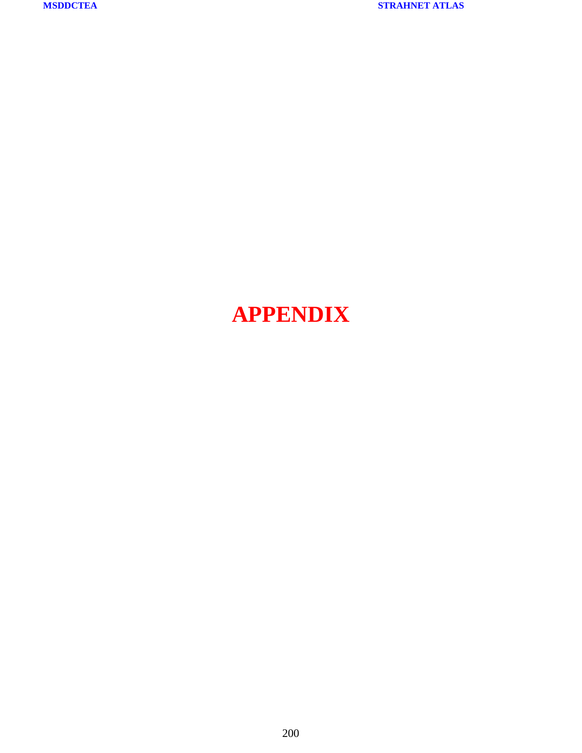# **APPENDIX**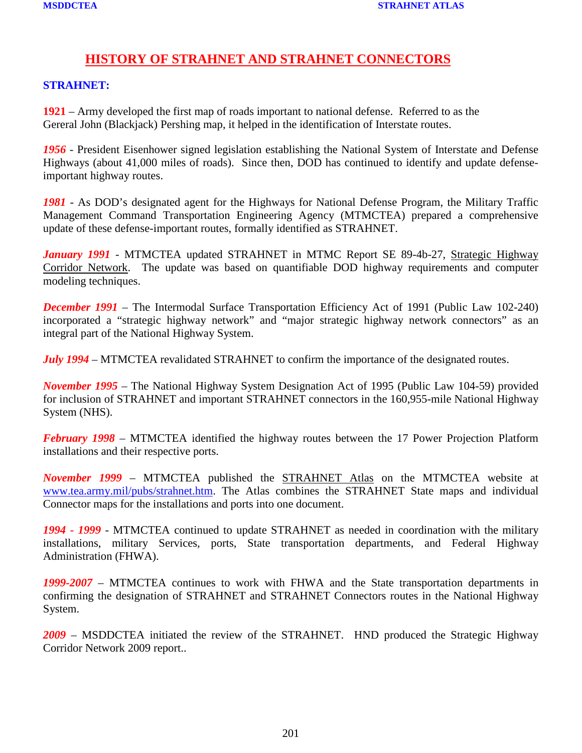### **HISTORY OF STRAHNET AND STRAHNET CONNECTORS**

#### **STRAHNET:**

**1921** – Army developed the first map of roads important to national defense. Referred to as the Gereral John (Blackjack) Pershing map, it helped in the identification of Interstate routes.

*1956* - President Eisenhower signed legislation establishing the National System of Interstate and Defense Highways (about 41,000 miles of roads). Since then, DOD has continued to identify and update defenseimportant highway routes.

*1981* - As DOD's designated agent for the Highways for National Defense Program, the Military Traffic Management Command Transportation Engineering Agency (MTMCTEA) prepared a comprehensive update of these defense-important routes, formally identified as STRAHNET.

*January 1991* - MTMCTEA updated STRAHNET in MTMC Report SE 89-4b-27, Strategic Highway Corridor Network. The update was based on quantifiable DOD highway requirements and computer modeling techniques.

**December 1991** – The Intermodal Surface Transportation Efficiency Act of 1991 (Public Law 102-240) incorporated a "strategic highway network" and "major strategic highway network connectors" as an integral part of the National Highway System.

*July 1994* – MTMCTEA revalidated STRAHNET to confirm the importance of the designated routes.

*November 1995* – The National Highway System Designation Act of 1995 (Public Law 104-59) provided for inclusion of STRAHNET and important STRAHNET connectors in the 160,955-mile National Highway System (NHS).

*February 1998* – MTMCTEA identified the highway routes between the 17 Power Projection Platform installations and their respective ports.

*November 1999* – MTMCTEA published the STRAHNET Atlas on the MTMCTEA website at [www.tea.army.mil/pubs/strahnet.htm.](http://www.tea.army.mil/pubs/strahnet.htm) The Atlas combines the STRAHNET State maps and individual Connector maps for the installations and ports into one document.

*1994 - 1999* - MTMCTEA continued to update STRAHNET as needed in coordination with the military installations, military Services, ports, State transportation departments, and Federal Highway Administration (FHWA).

*1999-2007* – MTMCTEA continues to work with FHWA and the State transportation departments in confirming the designation of STRAHNET and STRAHNET Connectors routes in the National Highway System.

*2009* – MSDDCTEA initiated the review of the STRAHNET. HND produced the Strategic Highway Corridor Network 2009 report..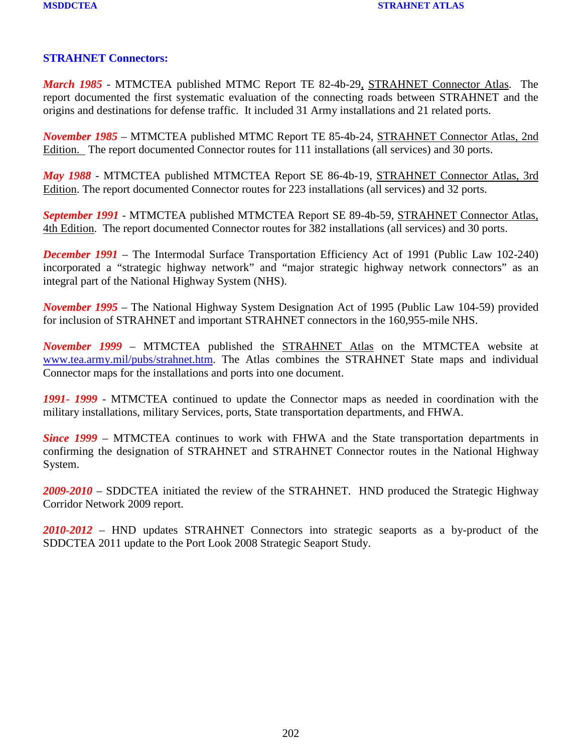#### **STRAHNET Connectors:**

*March 1985* - MTMCTEA published MTMC Report TE 82-4b-29, STRAHNET Connector Atlas. The report documented the first systematic evaluation of the connecting roads between STRAHNET and the origins and destinations for defense traffic. It included 31 Army installations and 21 related ports.

*November 1985* – MTMCTEA published MTMC Report TE 85-4b-24, STRAHNET Connector Atlas, 2nd Edition. The report documented Connector routes for 111 installations (all services) and 30 ports.

*May 1988* - MTMCTEA published MTMCTEA Report SE 86-4b-19, STRAHNET Connector Atlas, 3rd Edition. The report documented Connector routes for 223 installations (all services) and 32 ports.

*September 1991* - MTMCTEA published MTMCTEA Report SE 89-4b-59, STRAHNET Connector Atlas, 4th Edition. The report documented Connector routes for 382 installations (all services) and 30 ports.

**December 1991** – The Intermodal Surface Transportation Efficiency Act of 1991 (Public Law 102-240) incorporated a "strategic highway network" and "major strategic highway network connectors" as an integral part of the National Highway System (NHS).

*November 1995* – The National Highway System Designation Act of 1995 (Public Law 104-59) provided for inclusion of STRAHNET and important STRAHNET connectors in the 160,955-mile NHS.

*November 1999* – MTMCTEA published the STRAHNET Atlas on the MTMCTEA website at [www.tea.army.mil/pubs/strahnet.htm.](http://www.tea.army.mil/pubs/strahnet.htm) The Atlas combines the STRAHNET State maps and individual Connector maps for the installations and ports into one document.

*1991- 1999* - MTMCTEA continued to update the Connector maps as needed in coordination with the military installations, military Services, ports, State transportation departments, and FHWA.

*Since 1999* – MTMCTEA continues to work with FHWA and the State transportation departments in confirming the designation of STRAHNET and STRAHNET Connector routes in the National Highway System.

*2009-2010* – SDDCTEA initiated the review of the STRAHNET. HND produced the Strategic Highway Corridor Network 2009 report.

*2010-2012* – HND updates STRAHNET Connectors into strategic seaports as a by-product of the SDDCTEA 2011 update to the Port Look 2008 Strategic Seaport Study.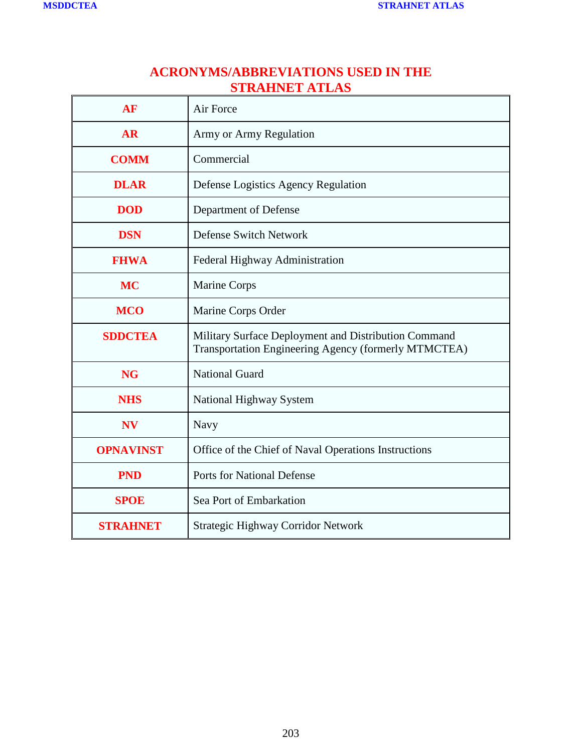## **ACRONYMS/ABBREVIATIONS USED IN THE STRAHNET ATLAS**

| AF               | Air Force                                                                                                    |
|------------------|--------------------------------------------------------------------------------------------------------------|
| <b>AR</b>        | Army or Army Regulation                                                                                      |
| <b>COMM</b>      | Commercial                                                                                                   |
| <b>DLAR</b>      | Defense Logistics Agency Regulation                                                                          |
| <b>DOD</b>       | Department of Defense                                                                                        |
| <b>DSN</b>       | <b>Defense Switch Network</b>                                                                                |
| <b>FHWA</b>      | Federal Highway Administration                                                                               |
| <b>MC</b>        | <b>Marine Corps</b>                                                                                          |
| <b>MCO</b>       | Marine Corps Order                                                                                           |
| <b>SDDCTEA</b>   | Military Surface Deployment and Distribution Command<br>Transportation Engineering Agency (formerly MTMCTEA) |
| <b>NG</b>        | <b>National Guard</b>                                                                                        |
| <b>NHS</b>       | National Highway System                                                                                      |
| <b>NV</b>        | Navy                                                                                                         |
| <b>OPNAVINST</b> | Office of the Chief of Naval Operations Instructions                                                         |
| <b>PND</b>       | <b>Ports for National Defense</b>                                                                            |
| <b>SPOE</b>      | Sea Port of Embarkation                                                                                      |
| <b>STRAHNET</b>  | Strategic Highway Corridor Network                                                                           |